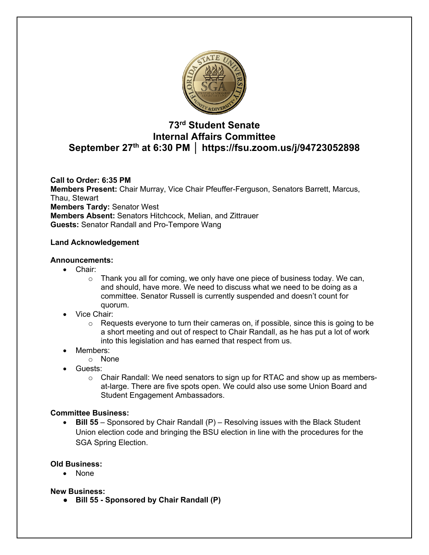

# **73rd Student Senate Internal Affairs Committee September 27th at 6:30 PM │ https://fsu.zoom.us/j/94723052898**

**Call to Order: 6:35 PM Members Present:** Chair Murray, Vice Chair Pfeuffer-Ferguson, Senators Barrett, Marcus, Thau, Stewart **Members Tardy:** Senator West **Members Absent:** Senators Hitchcock, Melian, and Zittrauer **Guests:** Senator Randall and Pro-Tempore Wang

# **Land Acknowledgement**

#### **Announcements:**

- Chair:
	- $\circ$  Thank you all for coming, we only have one piece of business today. We can, and should, have more. We need to discuss what we need to be doing as a committee. Senator Russell is currently suspended and doesn't count for quorum.
- Vice Chair:
	- $\circ$  Requests everyone to turn their cameras on, if possible, since this is going to be a short meeting and out of respect to Chair Randall, as he has put a lot of work into this legislation and has earned that respect from us.
- Members:
	- o None
- Guests:
	- $\circ$  Chair Randall: We need senators to sign up for RTAC and show up as membersat-large. There are five spots open. We could also use some Union Board and Student Engagement Ambassadors.

#### **Committee Business:**

• **Bill 55** – Sponsored by Chair Randall (P) – Resolving issues with the Black Student Union election code and bringing the BSU election in line with the procedures for the SGA Spring Election.

#### **Old Business:**

• None

#### **New Business:**

● **Bill 55 - Sponsored by Chair Randall (P)**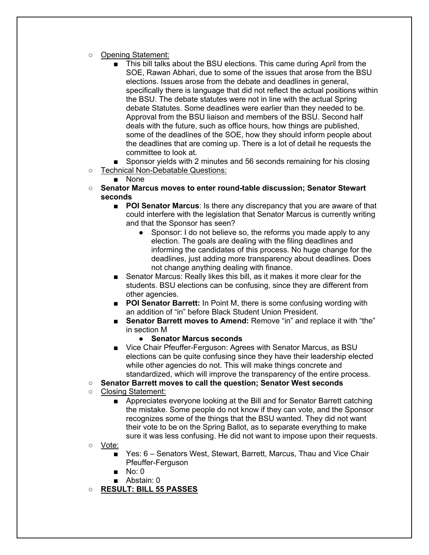- Opening Statement:
	- This bill talks about the BSU elections. This came during April from the SOE, Rawan Abhari, due to some of the issues that arose from the BSU elections. Issues arose from the debate and deadlines in general, specifically there is language that did not reflect the actual positions within the BSU. The debate statutes were not in line with the actual Spring debate Statutes. Some deadlines were earlier than they needed to be. Approval from the BSU liaison and members of the BSU. Second half deals with the future, such as office hours, how things are published, some of the deadlines of the SOE, how they should inform people about the deadlines that are coming up. There is a lot of detail he requests the committee to look at.
- Sponsor yields with 2 minutes and 56 seconds remaining for his closing
- Technical Non-Debatable Questions:
	- None
- **Senator Marcus moves to enter round-table discussion; Senator Stewart seconds**
	- **POI Senator Marcus**: Is there any discrepancy that you are aware of that could interfere with the legislation that Senator Marcus is currently writing and that the Sponsor has seen?
		- Sponsor: I do not believe so, the reforms you made apply to any election. The goals are dealing with the filing deadlines and informing the candidates of this process. No huge change for the deadlines, just adding more transparency about deadlines. Does not change anything dealing with finance.
	- Senator Marcus: Really likes this bill, as it makes it more clear for the students. BSU elections can be confusing, since they are different from other agencies.
	- **POI Senator Barrett:** In Point M, there is some confusing wording with an addition of "in" before Black Student Union President.
	- **Senator Barrett moves to Amend:** Remove "in" and replace it with "the" in section M
		- **Senator Marcus seconds**
	- Vice Chair Pfeuffer-Ferguson: Agrees with Senator Marcus, as BSU elections can be quite confusing since they have their leadership elected while other agencies do not. This will make things concrete and standardized, which will improve the transparency of the entire process.
- **Senator Barrett moves to call the question; Senator West seconds**
- Closing Statement:
	- Appreciates everyone looking at the Bill and for Senator Barrett catching the mistake. Some people do not know if they can vote, and the Sponsor recognizes some of the things that the BSU wanted. They did not want their vote to be on the Spring Ballot, as to separate everything to make sure it was less confusing. He did not want to impose upon their requests.
- Vote:
	- Yes: 6 Senators West, Stewart, Barrett, Marcus, Thau and Vice Chair Pfeuffer-Ferguson
	- No: 0
	- Abstain: 0
- **RESULT: BILL 55 PASSES**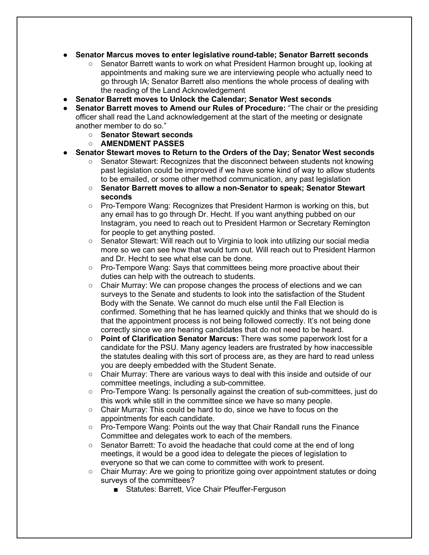- **Senator Marcus moves to enter legislative round-table; Senator Barrett seconds**
	- Senator Barrett wants to work on what President Harmon brought up, looking at appointments and making sure we are interviewing people who actually need to go through IA; Senator Barrett also mentions the whole process of dealing with the reading of the Land Acknowledgement
- **Senator Barrett moves to Unlock the Calendar; Senator West seconds**
- **Senator Barrett moves to Amend our Rules of Procedure:** "The chair or the presiding officer shall read the Land acknowledgement at the start of the meeting or designate another member to do so."
	- **Senator Stewart seconds**
	- **AMENDMENT PASSES**
- **Senator Stewart moves to Return to the Orders of the Day; Senator West seconds**
	- Senator Stewart: Recognizes that the disconnect between students not knowing past legislation could be improved if we have some kind of way to allow students to be emailed, or some other method communication, any past legislation
	- **Senator Barrett moves to allow a non-Senator to speak; Senator Stewart seconds**
	- Pro-Tempore Wang: Recognizes that President Harmon is working on this, but any email has to go through Dr. Hecht. If you want anything pubbed on our Instagram, you need to reach out to President Harmon or Secretary Remington for people to get anything posted.
	- Senator Stewart: Will reach out to Virginia to look into utilizing our social media more so we can see how that would turn out. Will reach out to President Harmon and Dr. Hecht to see what else can be done.
	- Pro-Tempore Wang: Says that committees being more proactive about their duties can help with the outreach to students.
	- Chair Murray: We can propose changes the process of elections and we can surveys to the Senate and students to look into the satisfaction of the Student Body with the Senate. We cannot do much else until the Fall Election is confirmed. Something that he has learned quickly and thinks that we should do is that the appointment process is not being followed correctly. It's not being done correctly since we are hearing candidates that do not need to be heard.
	- **Point of Clarification Senator Marcus:** There was some paperwork lost for a candidate for the PSU. Many agency leaders are frustrated by how inaccessible the statutes dealing with this sort of process are, as they are hard to read unless you are deeply embedded with the Student Senate.
	- $\circ$  Chair Murray: There are various ways to deal with this inside and outside of our committee meetings, including a sub-committee.
	- Pro-Tempore Wang: Is personally against the creation of sub-committees, just do this work while still in the committee since we have so many people.
	- Chair Murray: This could be hard to do, since we have to focus on the appointments for each candidate.
	- Pro-Tempore Wang: Points out the way that Chair Randall runs the Finance Committee and delegates work to each of the members.
	- $\circ$  Senator Barrett: To avoid the headache that could come at the end of long meetings, it would be a good idea to delegate the pieces of legislation to everyone so that we can come to committee with work to present.
	- $\circ$  Chair Murray: Are we going to prioritize going over appointment statutes or doing surveys of the committees?
		- Statutes: Barrett, Vice Chair Pfeuffer-Ferguson